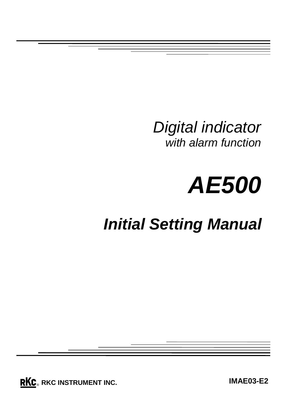*Digital indicator with alarm function*



# *Initial Setting Manual*

**RKC**. RKC INSTRUMENT INC.

**IMAE03-E2**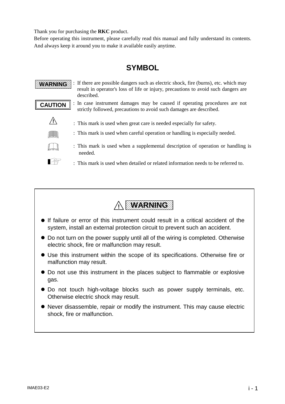Thank you for purchasing the **RKC** product.

Before operating this instrument, please carefully read this manual and fully understand its contents. And always keep it around you to make it available easily anytime.

# **SYMBOL**

: If there are possible dangers such as electric shock, fire (burns), etc. which may **WARNING** result in operator's loss of life or injury, precautions to avoid such dangers are described. : In case instrument damages may be caused if operating procedures are not **CAUTION** strictly followed, precautions to avoid such damages are described. **!** : This mark is used when great care is needed especially for safety. : This mark is used when careful operation or handling is especially needed. : This mark is used when a supplemental description of operation or handling is needed. **I** : This mark is used when detailed or related information needs to be referred to.



- ! If failure or error of this instrument could result in a critical accident of the system, install an external protection circuit to prevent such an accident.
- Do not turn on the power supply until all of the wiring is completed. Otherwise electric shock, fire or malfunction may result.
- Use this instrument within the scope of its specifications. Otherwise fire or malfunction may result.
- Do not use this instrument in the places subject to flammable or explosive gas.
- Do not touch high-voltage blocks such as power supply terminals, etc. Otherwise electric shock may result.
- ! Never disassemble, repair or modify the instrument. This may cause electric shock, fire or malfunction.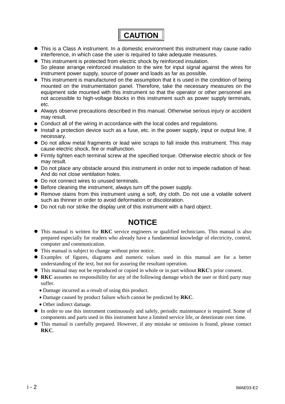

- ! This is a Class A instrument. In a domestic environment this instrument may cause radio interference, in which case the user is required to take adequate measures.
- This instrument is protected from electric shock by reinforced insulation. So please arrange reinforced insulation to the wire for input signal against the wires for
	- instrument power supply, source of power and loads as far as possible.
- This instrument is manufactured on the assumption that it is used in the condition of being mounted on the instrumentation panel. Therefore, take the necessary measures on the equipment side mounted with this instrument so that the operator or other personnel are not accessible to high-voltage blocks in this instrument such as power supply terminals, etc.
- ! Always observe precautions described in this manual. Otherwise serious injury or accident may result.
- Conduct all of the wiring in accordance with the local codes and regulations.
- Install a protection device such as a fuse, etc. in the power supply, input or output line, if necessary.
- ! Do not allow metal fragments or lead wire scraps to fall inside this instrument. This may cause electric shock, fire or malfunction.
- ! Firmly tighten each terminal screw at the specified torque. Otherwise electric shock or fire may result.
- ! Do not place any obstacle around this instrument in order not to impede radiation of heat. And do not close ventilation holes.
- $\bullet$  Do not connect wires to unused terminals.
- **.** Before cleaning the instrument, always turn off the power supply.
- ! Remove stains from this instrument using a soft, dry cloth. Do not use a volatile solvent such as thinner in order to avoid deformation or discoloration.
- Do not rub nor strike the display unit of this instrument with a hard object.

### **NOTICE**

- ! This manual is written for **RKC** service engineers or qualified technicians. This manual is also prepared especially for readers who already have a fundamental knowledge of electricity, control, computer and communication.
- ! This manual is subject to change without prior notice.
- ! Examples of figures, diagrams and numeric values used in this manual are for a better understanding of the text, but not for assuring the resultant operation.
- ! This manual may not be reproduced or copied in whole or in part without **RKC**'s prior consent.
- ! **RKC** assumes no responsibility for any of the following damage which the user or third party may suffer.
	- ! Damage incurred as a result of using this product.
	- ! Damage caused by product failure which cannot be predicted by **RKC**.
	- Other indirect damage.
- ! In order to use this instrument continuously and safely, periodic maintenance is required. Some of components and parts used in this instrument have a limited service life, or deteriorate over time.
- ! This manual is carefully prepared. However, if any mistake or omission is found, please contact **RKC**.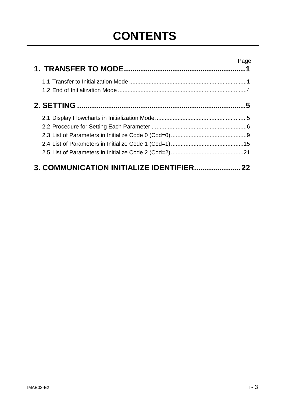# **CONTENTS**

|                                        | Page |
|----------------------------------------|------|
|                                        |      |
|                                        |      |
|                                        |      |
|                                        |      |
|                                        |      |
|                                        |      |
| 3. COMMUNICATION INITIALIZE IDENTIFIER | 22   |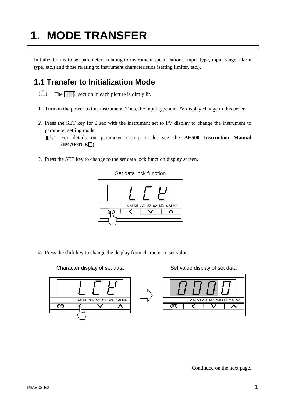# **1. MODE TRANSFER**

Initialization is to set parameters relating to instrument specifications (input type, input range, alarm type, etc.) and those relating to instrument characteristics (setting limiter, etc.).

# **1.1 Transfer to Initialization Mode**

 $\Box$ The section in each picture is dimly lit.

- *1.* Turn on the power to this instrument. Thus, the input type and PV display change in this order.
- *2.* Press the SET key for 2 sec with the instrument set to PV display to change the instrument to parameter setting mode.
	- For details on parameter setting mode, see the **AE500 Instruction Manual**  $\mathbb{F}$ **(IMAE01-E**!**)**.
- *3.* Press the SET key to change to the set data lock function display screen.

o ALM1 o ALM2 o ALM3 o ALM4 ⋜  $\checkmark$ ∧ জি $\bar{\tau}$ 

Set data lock function

*4.* Press the shift key to change the display from character to set value.



Continued on the next page.

Character display of set data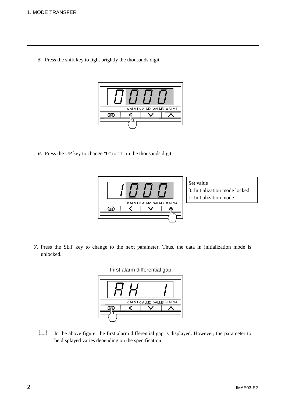*5.* Press the shift key to light brightly the thousands digit.



*6.* Press the UP key to change "0" to "1" in the thousands digit.



Set value

- 0: Initialization mode locked
- 1: Initialization mode

*7.* Press the SET key to change to the next parameter. Thus, the data in initialization mode is unlocked.



 $\Box$ In the above figure, the first alarm differential gap is displayed. However, the parameter to be displayed varies depending on the specification.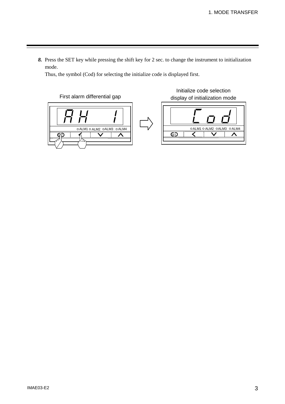*8.* Press the SET key while pressing the shift key for 2 sec. to change the instrument to initialization mode.

Thus, the symbol (Cod) for selecting the initialize code is displayed first.



Initialize code selection display of initialization mode

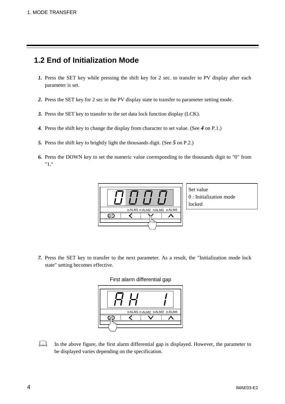# **1.2 End of Initialization Mode**

- *1.* Press the SET key while pressing the shift key for 2 sec. to transfer to PV display after each parameter is set.
- *2.* Press the SET key for 2 sec in the PV display state to transfer to parameter setting mode.
- *3.* Press the SET key to transfer to the set data lock function display (LCK).
- *4.* Press the shift key to change the display from character to set value. (See *4* on P.1.)
- *5.* Press the shift key to brightly light the thousands digit. (See *5* on P.2.)
- *6.* Press the DOWN key to set the numeric value corresponding to the thousands digit to "0" from "1."



Set value 0 : Initialization mode locked

*7.* Press the SET key to transfer to the next parameter. As a result, the "Initialization mode lock state" setting becomes effective.



 $\Box$ In the above figure, the first alarm differential gap is displayed. However, the parameter to be displayed varies depending on the specification.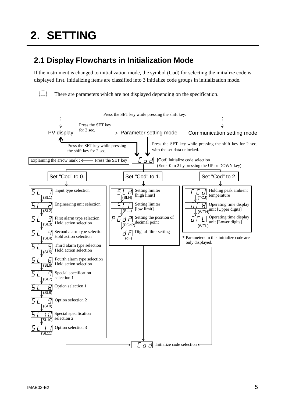$\Box$ 

# **2.1 Display Flowcharts in Initialization Mode**

If the instrument is changed to initialization mode, the symbol (Cod) for selecting the initialize code is displayed first. Initializing items are classified into 3 initialize code groups in initialization mode.

There are parameters which are not displayed depending on the specification.

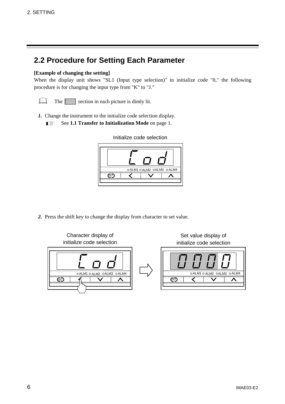# **2.2 Procedure for Setting Each Parameter**

#### **[Example of changing the setting]**

When the display unit shows "SL1 (Input type selection)" in initialize code "0," the following procedure is for changing the input type from "K" to "J."

- $\Box$ The section in each picture is dimly lit.
- *1.* Change the instrument to the initialize code selection display.  $\mathbb{F}$ See **1.1 Transfer to Initialization Mode** on page 1.



#### Initialize code selection

*2.* Press the shift key to change the display from character to set value.

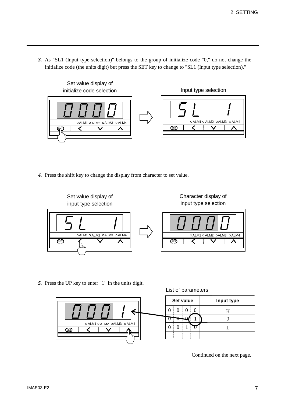*3.* As "SL1 (Input type selection)" belongs to the group of initialize code "0," do not change the initialize code (the units digit) but press the SET key to change to "SL1 (Input type selection)."



*4.* Press the shift key to change the display from character to set value.



*5.* Press the UP key to enter "1" in the units digit.

List of parameters



Continued on the next page.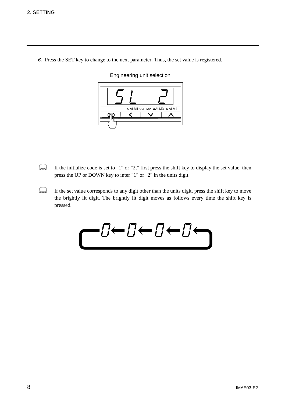*6.* Press the SET key to change to the next parameter. Thus, the set value is registered.

OALM1 OALM2 OALM3 OALM4 ⋜  $\overline{\bm{\vee}}$ SET ∧

Engineering unit selection

- $\Box$ If the initialize code is set to "1" or "2," first press the shift key to display the set value, then press the UP or DOWN key to inter "1" or "2" in the units digit.
- $\Box$ If the set value corresponds to any digit other than the units digit, press the shift key to move the brightly lit digit. The brightly lit digit moves as follows every time the shift key is pressed.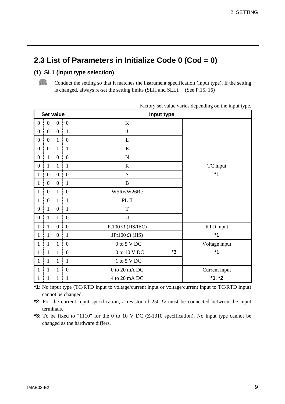# **2.3 List of Parameters in Initialize Code 0 (Cod = 0)**

#### **(1) SL1 (Input type selection)**

 $\Box$ Conduct the setting so that it matches the instrument specification (input type). If the setting is changed, always re-set the setting limits (SLH and SLL). (See P.15, 16)

| <b>Set value</b>                     |                        |                  | Input type                  |               |
|--------------------------------------|------------------------|------------------|-----------------------------|---------------|
| $\boldsymbol{0}$<br>$\boldsymbol{0}$ | $\boldsymbol{0}$<br>Ŧ. | $\boldsymbol{0}$ | $\bf K$                     |               |
| $\boldsymbol{0}$<br>$\boldsymbol{0}$ | $\boldsymbol{0}$       | $\mathbf{1}$     | $\bf J$                     |               |
| $\boldsymbol{0}$<br>$\boldsymbol{0}$ | $\mathbf{1}$           | $\mathbf{0}$     | L                           |               |
| $\boldsymbol{0}$<br>$\boldsymbol{0}$ | $\mathbf{1}$           | $\mathbf{1}$     | ${\bf E}$                   |               |
| $\mathbf{1}$<br>$\boldsymbol{0}$     | ŧ<br>$\boldsymbol{0}$  | $\boldsymbol{0}$ | ${\bf N}$                   |               |
| $\boldsymbol{0}$<br>$\mathbf{1}$     | $\mathbf{1}$           | $\mathbf{1}$     | $\mathbf R$                 | TC input      |
| $\boldsymbol{0}$<br>$\mathbf{1}$     | $\boldsymbol{0}$<br>÷  | $\boldsymbol{0}$ | S                           | $*1$          |
| $\boldsymbol{0}$<br>1                | $\boldsymbol{0}$<br>ł  | $\mathbf{1}$     | $\bf{B}$                    |               |
| $\boldsymbol{0}$<br>1                | $\mathbf{1}$           | $\boldsymbol{0}$ | W5Re/W26Re                  |               |
| $\boldsymbol{0}$<br>1                | $\mathbf{1}$           | $\mathbf{1}$     | PL II                       |               |
| $\boldsymbol{0}$<br>1                | $\boldsymbol{0}$       | $\mathbf{1}$     | $\mathbf T$                 |               |
| $\boldsymbol{0}$<br>$\mathbf{1}$     | 1                      | $\boldsymbol{0}$ | $\mathbf U$                 |               |
| $\mathbf{1}$                         | $\boldsymbol{0}$       | $\overline{0}$   | Pt100 $\Omega$ (JIS/IEC)    | RTD input     |
| $\mathbf{1}$<br>1                    | $\boldsymbol{0}$       | $\mathbf{1}$     | JPt100 $\Omega$ (JIS)       | $*1$          |
| $\mathbf{1}$<br>1                    | $\mathbf{1}$           | $\boldsymbol{0}$ | $0$ to $5$ V $\rm{DC}$      | Voltage input |
| $\mathbf{1}$<br>$\mathbf{1}$         | $\mathbf{1}$           | $\boldsymbol{0}$ | *3<br>$0$ to $10$ V DC $\,$ | $*1$          |
| $\mathbf{1}$<br>$\mathbf{1}$         | $\mathbf{1}$           | $\mathbf{1}$     | $1$ to $5$ V $\rm{DC}$      |               |
| $\mathbf{1}$<br>1                    | $\mathbf{1}$           | $\boldsymbol{0}$ | $0$ to $20$ mA DC           | Current input |
| $\mathbf{1}$<br>$\mathbf{1}$         | $\mathbf{1}$           | $\mathbf{1}$     | 4 to 20 mA DC               | $*1, *2$      |

Factory set value varies depending on the input type.

**\*1**: No input type (TC/RTD input to voltage/current input or voltage/current input to TC/RTD input) cannot be changed.

\*2: For the current input specification, a resistor of 250  $\Omega$  must be connected between the input terminals.

**\*3**: To be fixed to "1110" for the 0 to 10 V DC (Z-1010 specification). No input type cannot be changed as the hardware differs.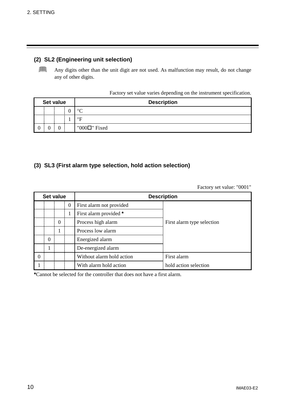#### **(2) SL2 (Engineering unit selection)**

 $\Box$ Any digits other than the unit digit are not used. As malfunction may result, do not change any of other digits.

Factory set value varies depending on the instrument specification.

| Set value |  |  | <b>Description</b>  |
|-----------|--|--|---------------------|
|           |  |  | $\circ$             |
|           |  |  | $\circ$ F           |
|           |  |  | "000 $\Box$ " Fixed |

#### **(3) SL3 (First alarm type selection, hold action selection)**

Factory set value: "0001"

| Set value |                |                |          | <b>Description</b>        |                            |  |
|-----------|----------------|----------------|----------|---------------------------|----------------------------|--|
|           |                |                | $\theta$ | First alarm not provided  |                            |  |
|           |                |                | 1        | First alarm provided *    |                            |  |
|           |                | $\overline{0}$ |          | Process high alarm        | First alarm type selection |  |
|           |                |                |          | Process low alarm         |                            |  |
|           | $\overline{0}$ |                |          | Energized alarm           |                            |  |
|           |                |                |          | De-energized alarm        |                            |  |
| $\theta$  |                |                |          | Without alarm hold action | First alarm                |  |
|           |                |                |          | With alarm hold action    | hold action selection      |  |

**\***Cannot be selected for the controller that does not have a first alarm.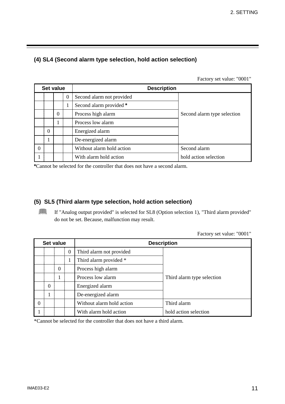#### **(4) SL4 (Second alarm type selection, hold action selection)**

Factory set value: "0001"

| Set value |                |          |          | <b>Description</b>        |                             |  |
|-----------|----------------|----------|----------|---------------------------|-----------------------------|--|
|           |                |          | $\theta$ | Second alarm not provided |                             |  |
|           |                |          |          | Second alarm provided *   |                             |  |
|           |                | $\theta$ |          | Process high alarm        | Second alarm type selection |  |
|           |                | 1        |          | Process low alarm         |                             |  |
|           | $\overline{0}$ |          |          | Energized alarm           |                             |  |
|           | 1              |          |          | De-energized alarm        |                             |  |
| - 0       |                |          |          | Without alarm hold action | Second alarm                |  |
|           |                |          |          | With alarm hold action    | hold action selection       |  |

**\***Cannot be selected for the controller that does not have a second alarm.

#### **(5) SL5 (Third alarm type selection, hold action selection)**

If "Analog output provided" is selected for SL8 (Option selection 1), "Third alarm provided" do not be set. Because, malfunction may result.

Factory set value: "0001"

|          | Set value      |                |                  | <b>Description</b>        |                            |  |
|----------|----------------|----------------|------------------|---------------------------|----------------------------|--|
|          |                |                | $\boldsymbol{0}$ | Third alarm not provided  |                            |  |
|          |                |                | 1                | Third alarm provided *    |                            |  |
|          |                | $\overline{0}$ |                  | Process high alarm        |                            |  |
|          |                |                |                  | Process low alarm         | Third alarm type selection |  |
|          | $\overline{0}$ |                |                  | Energized alarm           |                            |  |
|          |                |                |                  | De-energized alarm        |                            |  |
| $\theta$ |                |                |                  | Without alarm hold action | Third alarm                |  |
|          |                |                |                  | With alarm hold action    | hold action selection      |  |

\*Cannot be selected for the controller that does not have a third alarm.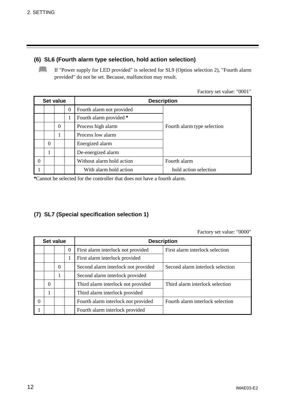#### **(6) SL6 (Fourth alarm type selection, hold action selection)**

If "Power supply for LED provided" is selected for SL9 (Option selection 2), "Fourth alarm provided" do not be set. Because, malfunction may result.

Factory set value: "0001"

| Set value |                |                  |                  | <b>Description</b>        |                             |  |
|-----------|----------------|------------------|------------------|---------------------------|-----------------------------|--|
|           |                |                  | $\boldsymbol{0}$ | Fourth alarm not provided |                             |  |
|           |                |                  | 1                | Fourth alarm provided *   |                             |  |
|           |                | $\boldsymbol{0}$ |                  | Process high alarm        | Fourth alarm type selection |  |
|           |                |                  |                  | Process low alarm         |                             |  |
|           | $\overline{0}$ |                  |                  | Energized alarm           |                             |  |
|           |                |                  |                  | De-energized alarm        |                             |  |
| $\Omega$  |                |                  |                  | Without alarm hold action | Fourth alarm                |  |
|           |                |                  |                  | With alarm hold action    | hold action selection       |  |

**\***Cannot be selected for the controller that does not have a fourth alarm.

#### **(7) SL7 (Special specification selection 1)**

Factory set value: "0000"

| Set value |          |          |                | <b>Description</b>                  |                                  |  |  |
|-----------|----------|----------|----------------|-------------------------------------|----------------------------------|--|--|
|           |          |          | $\overline{0}$ | First alarm interlock not provided  | First alarm interlock selection  |  |  |
|           |          |          | 1              | First alarm interlock provided      |                                  |  |  |
|           |          | $\Omega$ |                | Second alarm interlock not provided | Second alarm interlock selection |  |  |
|           |          | 1        |                | Second alarm interlock provided     |                                  |  |  |
|           | $\Omega$ |          |                | Third alarm interlock not provided  | Third alarm interlock selection  |  |  |
|           |          |          |                | Third alarm interlock provided      |                                  |  |  |
|           |          |          |                | Fourth alarm interlock not provided | Fourth alarm interlock selection |  |  |
|           |          |          |                | Fourth alarm interlock provided     |                                  |  |  |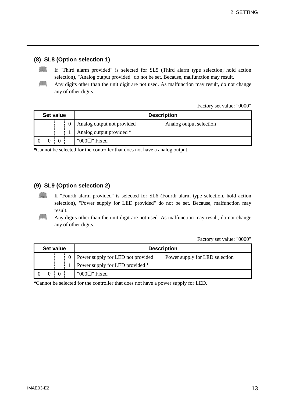#### **(8) SL8 (Option selection 1)**

- $\Box$ If "Third alarm provided" is selected for SL5 (Third alarm type selection, hold action selection), "Analog output provided" do not be set. Because, malfunction may result.
- $\Box$ Any digits other than the unit digit are not used. As malfunction may result, do not change any of other digits.

Factory set value: "0000"

| Set value |  |  | <b>Description</b>         |                         |  |
|-----------|--|--|----------------------------|-------------------------|--|
|           |  |  | Analog output not provided | Analog output selection |  |
|           |  |  | Analog output provided *   |                         |  |
|           |  |  | "000 $\Box$ " Fixed        |                         |  |

**\***Cannot be selected for the controller that does not have a analog output.

#### **(9) SL9 (Option selection 2)**

- $\Box$ If "Fourth alarm provided" is selected for SL6 (Fourth alarm type selection, hold action selection), "Power supply for LED provided" do not be set. Because, malfunction may result.
- $\Box$ Any digits other than the unit digit are not used. As malfunction may result, do not change any of other digits.

Factory set value: "0000"

| Set value |  |  |          | <b>Description</b>                |                                |  |  |
|-----------|--|--|----------|-----------------------------------|--------------------------------|--|--|
|           |  |  | $\Omega$ | Power supply for LED not provided | Power supply for LED selection |  |  |
|           |  |  |          | Power supply for LED provided *   |                                |  |  |
|           |  |  |          | "000 $\Box$ " Fixed               |                                |  |  |

**\***Cannot be selected for the controller that does not have a power supply for LED.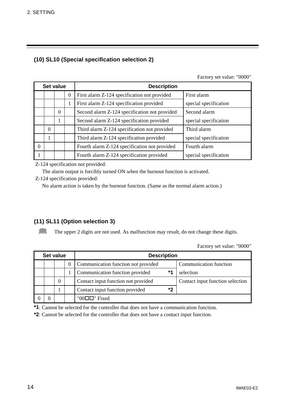### **(10) SL10 (Special specification selection 2)**

Factory set value: "0000"

Factory set value: "0000"

| Set value |          |                |                  | <b>Description</b>                            |                       |  |
|-----------|----------|----------------|------------------|-----------------------------------------------|-----------------------|--|
|           |          |                | $\boldsymbol{0}$ | First alarm Z-124 specification not provided  | First alarm           |  |
|           |          |                | 1                | First alarm Z-124 specification provided      | special specification |  |
|           |          | $\overline{0}$ |                  | Second alarm Z-124 specification not provided | Second alarm          |  |
|           |          |                |                  | Second alarm Z-124 specification provided     | special specification |  |
|           | $\theta$ |                |                  | Third alarm Z-124 specification not provided  | Third alarm           |  |
|           |          |                |                  | Third alarm Z-124 specification provided      | special specification |  |
| $\theta$  |          |                |                  | Fourth alarm Z-124 specification not provided | Fourth alarm          |  |
|           |          |                |                  | Fourth alarm Z-124 specification provided     | special specification |  |

Z-124 specification not provided:

The alarm output is forcibly turned ON when the burnout function is activated.

Z-124 specification provided:

No alarm action is taken by the burnout function. (Same as the normal alarm action.)

#### **(11) SL11 (Option selection 3)**

 $\Box$ The upper 2 digits are not used. As malfunction may result, do not change these digits.

| Set value |  |                |                  | <b>Description</b>                  |      |                                  |  |
|-----------|--|----------------|------------------|-------------------------------------|------|----------------------------------|--|
|           |  |                | $\boldsymbol{0}$ | Communication function not provided |      | Communication function           |  |
|           |  |                |                  | Communication function provided     | $*1$ | selection                        |  |
|           |  | $\overline{0}$ |                  | Contact input function not provided |      | Contact input function selection |  |
|           |  |                |                  | Contact input function provided     | *2   |                                  |  |
|           |  |                |                  | "00 $\Box$ " Fixed                  |      |                                  |  |

**\*1**: Cannot be selected for the controller that does not have a communication function.

**\*2**: Cannot be selected for the controller that does not have a contact input function.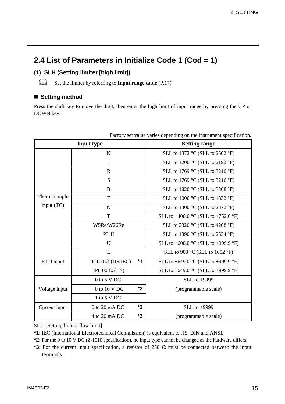# **2.4 List of Parameters in Initialize Code 1 (Cod = 1)**

### **(1) SLH (Setting limiter [high limit])**

 $\Box$ Set the limiter by referring to **Input range table** (P.17)

#### ■ Setting method

Press the shift key to move the digit, then enter the high limit of input range by pressing the UP or DOWN key.

| Input type    |                                  |  | <b>Setting range</b>                                    |  |
|---------------|----------------------------------|--|---------------------------------------------------------|--|
|               | K                                |  | SLL to 1372 °C (SLL to 2502 °F)                         |  |
|               | J                                |  | SLL to 1200 °C (SLL to 2192 °F)                         |  |
|               | $\mathbf R$                      |  | SLL to 1769 °C (SLL to 3216 °F)                         |  |
|               | S                                |  | SLL to 1769 $\degree$ C (SLL to 3216 $\degree$ F)       |  |
|               | B                                |  | SLL to 1820 °C (SLL to 3308 °F)                         |  |
| Thermocouple  | E                                |  | SLL to 1000 °C (SLL to 1832 °F)                         |  |
| input (TC)    | $\mathbf N$                      |  | SLL to 1300 $\degree$ C (SLL to 2372 $\degree$ F)       |  |
|               | $\mathbf T$                      |  | SLL to +400.0 $^{\circ}$ C (SLL to +752.0 $^{\circ}$ F) |  |
|               | W5Re/W26Re                       |  | SLL to 2320 $\degree$ C (SLL to 4208 $\degree$ F)       |  |
|               | PL II                            |  | SLL to 1390 °C (SLL to 2534 °F)                         |  |
|               | U                                |  | SLL to +600.0 $\degree$ C (SLL to +999.9 $\degree$ F)   |  |
|               | L                                |  | SLL to 900 $\degree$ C (SLL to 1652 $\degree$ F)        |  |
| RTD input     | $*1$<br>Pt100 $\Omega$ (JIS/IEC) |  | SLL to +649.0 $^{\circ}$ C (SLL to +999.9 $^{\circ}$ F) |  |
|               | JPt100 $\Omega$ (JIS)            |  | SLL to +649.0 $^{\circ}$ C (SLL to +999.9 $^{\circ}$ F) |  |
|               | $0$ to 5 V DC                    |  | SLL to $+9999$                                          |  |
| Voltage input | *2<br>0 to 10 V DC               |  | (programmable scale)                                    |  |
|               | 1 to 5 V DC                      |  |                                                         |  |
| Current input | *3<br>$0$ to 20 mA DC            |  | SLL to +9999                                            |  |
|               | *3<br>4 to 20 mA DC              |  | (programmable scale)                                    |  |

Factory set value varies depending on the instrument specification.

SLL : Setting limiter [low limit]

**\*1**: IEC (International Electrotechnical Commission) is equivalent to JIS, DIN and ANSI.

**\*2**: For the 0 to 10 V DC (Z-1010 specification), no input type cannot be changed as the hardware differs.

**\*3**: For the current input specification, a resistor of 250  $\Omega$  must be connected between the input terminals.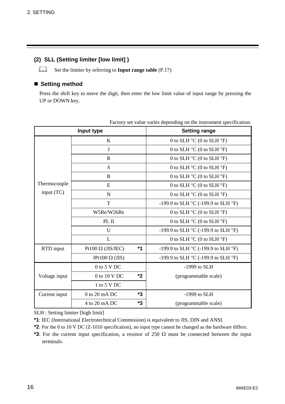#### **(2) SLL (Setting limiter [low limit] )**

 $\Box$ Set the limiter by referring to **Input range table** (P.17)

#### ■ Setting method

Press the shift key to move the digit, then enter the low limit value of input range by pressing the UP or DOWN key.

| Input type    |                          |    | <b>Setting range</b>                                    |  |
|---------------|--------------------------|----|---------------------------------------------------------|--|
|               | $\bf K$                  |    | 0 to SLH $^{\circ}$ C (0 to SLH $^{\circ}$ F)           |  |
|               | $\bf J$                  |    | 0 to SLH $^{\circ}$ C (0 to SLH $^{\circ}$ F)           |  |
|               | $\mathbf R$              |    | 0 to SLH $^{\circ}$ C (0 to SLH $^{\circ}$ F)           |  |
|               | S                        |    | 0 to SLH $^{\circ}$ C (0 to SLH $^{\circ}$ F)           |  |
|               | B                        |    | 0 to SLH $^{\circ}$ C (0 to SLH $^{\circ}$ F)           |  |
| Thermocouple  | ${\bf E}$                |    | 0 to SLH $^{\circ}$ C (0 to SLH $^{\circ}$ F)           |  |
| input (TC)    | $\mathbf N$              |    | 0 to SLH $^{\circ}$ C (0 to SLH $^{\circ}$ F)           |  |
|               | T                        |    | -199.9 to SLH $^{\circ}$ C (-199.9 to SLH $^{\circ}$ F) |  |
|               | W5Re/W26Re               |    | 0 to SLH $^{\circ}$ C (0 to SLH $^{\circ}$ F)           |  |
|               | PL II                    |    | 0 to SLH $^{\circ}$ C (0 to SLH $^{\circ}$ F)           |  |
|               | U                        |    | -199.9 to SLH $^{\circ}$ C (-199.9 to SLH $^{\circ}$ F) |  |
|               | L                        |    | 0 to SLH $^{\circ}$ C (0 to SLH $^{\circ}$ F)           |  |
| RTD input     | Pt100 $\Omega$ (JIS/IEC) | *1 | -199.9 to SLH $^{\circ}$ C (-199.9 to SLH $^{\circ}$ F) |  |
|               | JPt100 $\Omega$ (JIS)    |    | -199.9 to SLH $^{\circ}$ C (-199.9 to SLH $^{\circ}$ F) |  |
|               | $0$ to 5 V DC            |    | $-1999$ to SLH                                          |  |
| Voltage input | 0 to 10 V DC             | *2 | (programmable scale)                                    |  |
|               | 1 to 5 V DC              |    |                                                         |  |
| Current input | $0$ to $20$ mA DC        | *3 | $-1999$ to SLH                                          |  |
|               | 4 to 20 mA DC            | *3 | (programmable scale)                                    |  |

Factory set value varies depending on the instrument specification.

SLH : Setting limiter [high limit]

**\*1**: IEC (International Electrotechnical Commission) is equivalent to JIS, DIN and ANSI.

- **\*2**: For the 0 to 10 V DC (Z-1010 specification), no input type cannot be changed as the hardware differs.
- **\*3**: For the current input specification, a resistor of 250  $\Omega$  must be connected between the input terminals.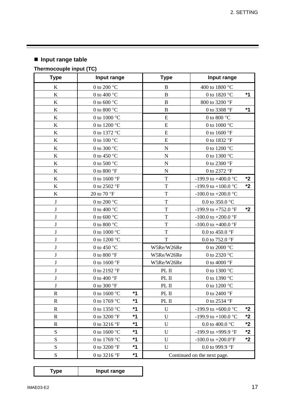# ! **Input range table**

# **Thermocouple input (TC)**

| <b>Type</b>  | Input range                      |      | <b>Type</b><br>Input range  |                                       |         |
|--------------|----------------------------------|------|-----------------------------|---------------------------------------|---------|
| $\bf K$      | 0 to 200 $^{\circ}$ C            |      | B                           | 400 to 1800 °C                        |         |
| $\bf K$      | 0 to 400 $^{\circ}$ C            |      | $\, {\bf B}$                | 0 to 1820 °C                          | $*1$    |
| $\bf K$      | 0 to 600 $^{\circ}$ C            |      | $\bf{B}$                    | 800 to 3200 °F                        |         |
| $\bf K$      | 0 to 800 $^{\circ}$ C            |      | $\overline{B}$              | 0 to 3308 °F                          | $*1$    |
| $\bf K$      | 0 to 1000 $^{\circ}$ C           |      | E                           | 0 to 800 $^{\circ}$ C                 |         |
| $\bf K$      | 0 to 1200 $^{\circ}$ C           |      | E                           | 0 to 1000 $^{\circ}$ C                |         |
| $\bf K$      | 0 to 1372 °C                     |      | ${\bf E}$                   | 0 to 1600 °F                          |         |
| $\bf K$      | 0 to 100 $^{\circ}$ C            |      | E                           | 0 to 1832 °F                          |         |
| $\bf K$      | 0 to 300 $^{\circ}$ C            |      | $\mathbf N$                 | 0 to 1200 $^{\circ}$ C                |         |
| $\bf K$      | 0 to 450 $^{\circ}$ C            |      | $\mathbf N$                 | 0 to 1300 °C                          |         |
| $\bf K$      | 0 to 500 $^{\circ}$ C            |      | $\mathbf N$                 | 0 to 2300 °F                          |         |
| $\bf K$      | 0 to 800 $\mathrm{^{\circ}F}$    |      | $\mathbf N$                 | 0 to 2372 °F                          |         |
| $\bf K$      | 0 to 1600 °F                     |      | T                           | -199.9 to +400.0 °C                   | ${}^*2$ |
| K            | 0 to 2502 °F                     |      | T                           | -199.9 to +100.0 $^{\circ}$ C         | $*2$    |
| $\bf K$      | 20 to 70 °F                      |      | $\mathbf T$                 | -100.0 to +200.0 $^{\circ}$ C         |         |
| $\bf J$      | 0 to 200 $^{\circ}$ C            |      | T                           | 0.0 to 350.0 $^{\circ}$ C             |         |
| $\bf J$      | 0 to 400 $^{\circ}$ C            |      | T                           | -199.9 to +752.0 $^{\circ}$ F         | $*2$    |
| $\bf J$      | $0$ to $600\,^{\circ}\mathrm{C}$ |      | T                           | -100.0 to +200.0 $\mathrm{^{\circ}F}$ |         |
| J            | 0 to 800 $^{\circ}$ C            |      | T                           | -100.0 to +400.0 °F                   |         |
| $\bf J$      | 0 to 1000 $^{\circ}$ C           |      | $\mathbf T$                 | 0.0 to 450.0 $^{\circ}$ F             |         |
| $\bf J$      | 0 to 1200 $^{\circ}$ C           |      | $\mathbf T$                 | 0.0 to 752.0 $\mathrm{^{\circ}F}$     |         |
| J            | 0 to 450 $^{\circ}$ C            |      | W5Re/W26Re                  | 0 to 2000 $^{\circ}$ C                |         |
| J            | 0 to 800 $\mathrm{^{\circ}F}$    |      | W5Re/W26Re                  | 0 to 2320 °C                          |         |
| $\bf J$      | 0 to 1600 °F                     |      | W5Re/W26Re                  | 0 to 4000 $\mathrm{^{\circ}F}$        |         |
| J            | 0 to 2192 °F                     |      | PL II                       | 0 to 1300 °C                          |         |
| J            | 0 to 400 $\mathrm{^{\circ}F}$    |      | PL II                       | 0 to 1390 °C                          |         |
| $\bf J$      | 0 to 300 °F                      |      | PL II                       | 0 to 1200 °C                          |         |
| $\mathbb{R}$ | 0 to 1600 $^{\circ}$ C           | $*1$ | PL II                       | 0 to 2400 °F                          |         |
| $\mathbf R$  | 0 to 1769 °C                     | $*1$ | PL II                       | 0 to 2534 °F                          |         |
| $\mathbb{R}$ | 0 to 1350 °C                     | $*1$ | U                           | -199.9 to +600.0 °C                   | $*2$    |
| $\mathbf R$  | 0 to 3200 °F                     | $*1$ | U                           | -199.9 to +100.0 °C                   | $*2$    |
| $\mathbb{R}$ | 0 to 3216 °F                     | $*1$ | U                           | 0.0 to 400.0 $^{\circ}$ C             | $*2$    |
| ${\bf S}$    | 0 to 1600 °C                     | $*1$ | U                           | -199.9 to +999.9 °F                   | $*2$    |
| S            | 0 to 1769 °C                     | $*1$ | U                           | -100.0 to $+200.0$ °F                 | $*2$    |
| ${\bf S}$    | 0 to 3200 °F                     | $*1$ | U                           | 0.0 to 999.9 °F                       |         |
| S            | 0 to 3216 °F                     | $*1$ | Continued on the next page. |                                       |         |

| Input range |
|-------------|
|-------------|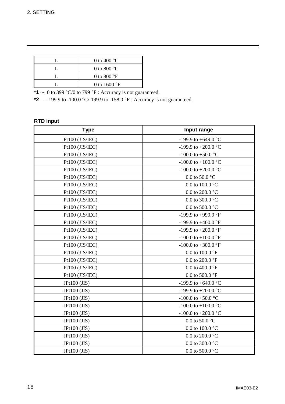| 0 to 400 $^{\circ}$ C          |
|--------------------------------|
| 0 to 800 $^{\circ}$ C          |
| 0 to 800 $\mathrm{^{\circ}F}$  |
| 0 to 1600 $\mathrm{^{\circ}F}$ |

**\*1**  $\cdots$  0 to 399 °C/0 to 799 °F : Accuracy is not guaranteed.

**\*2**  $\cdots$  -199.9 to -100.0 °C/-199.9 to -158.0 °F : Accuracy is not guaranteed.

#### **RTD input**

| <b>Type</b>                                                 | Input range                           |
|-------------------------------------------------------------|---------------------------------------|
| Pt100 (JIS/IEC)                                             | -199.9 to +649.0 °C                   |
| Pt100 (JIS/IEC)                                             | -199.9 to +200.0 °C                   |
| Pt100 (JIS/IEC)                                             | -100.0 to +50.0 $^{\circ}$ C          |
| Pt100 (JIS/IEC)                                             | -100.0 to +100.0 $^{\circ}$ C         |
| Pt100 (JIS/IEC)                                             | -100.0 to +200.0 $^{\circ}$ C         |
| Pt100 (JIS/IEC)                                             | 0.0 to 50.0 $^{\circ}$ C              |
| Pt100 (JIS/IEC)                                             | 0.0 to 100.0 $^{\circ}$ C             |
| Pt100 (JIS/IEC)                                             | $0.0$ to $200.0$ $^{\circ}\mathrm{C}$ |
| Pt100 (JIS/IEC)                                             | $0.0$ to $300.0$ $^{\circ}\mathrm{C}$ |
| Pt100 (JIS/IEC)                                             | 0.0 to 500.0 $^{\circ}$ C             |
| Pt100 (JIS/IEC)                                             | -199.9 to +999.9 °F                   |
| Pt100 (JIS/IEC)                                             | -199.9 to +400.0 °F                   |
| Pt100 (JIS/IEC)                                             | -199.9 to +200.0 °F                   |
| Pt100 (JIS/IEC)                                             | -100.0 to +100.0 $\textdegree$ F      |
| Pt100 (JIS/IEC)                                             | -100.0 to +300.0 $\textdegree$ F      |
| Pt100 (JIS/IEC)                                             | 0.0 to 100.0 $\mathrm{^{\circ}F}$     |
| Pt100 (JIS/IEC)                                             | 0.0 to 200.0 $\mathrm{^{\circ}F}$     |
| Pt100 (JIS/IEC)                                             | 0.0 to 400.0 $\mathrm{^{\circ}F}$     |
| Pt100 (JIS/IEC)                                             | 0.0 to 500.0 $\mathrm{^{\circ}F}$     |
| $JPt100$ ( $JIS$ )                                          | -199.9 to +649.0 °C                   |
| $JPt100$ ( $JIS$ )                                          | -199.9 to +200.0 °C                   |
| $JPt100$ ( $JIS$ )                                          | -100.0 to +50.0 $^{\circ}$ C          |
| $JPt100$ ( $JIS$ )                                          | -100.0 to +100.0 $^{\circ}$ C         |
| $JPt100$ ( $JIS$ )<br>-100.0 to +200.0 $^{\circ}$ C         |                                       |
| $JPt100$ ( $JIS$ )                                          | 0.0 to 50.0 $^{\circ}$ C              |
| JPt100 (JIS)                                                | 0.0 to 100.0 $^{\circ}$ C             |
| $JPt100$ ( $JIS$ )                                          | $0.0$ to $200.0$ $^{\circ}\mathrm{C}$ |
| $0.0$ to $300.0$ $^{\circ}\mathrm{C}$<br>$JPt100$ ( $JIS$ ) |                                       |
| JPt100 (JIS)                                                | 0.0 to 500.0 $^{\circ}$ C             |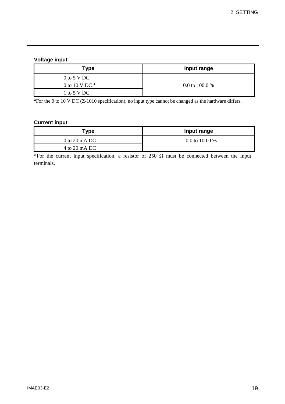#### **Voltage input**

| Type             | Input range      |  |
|------------------|------------------|--|
| $0$ to 5 V DC    |                  |  |
| 0 to 10 V DC $*$ | 0.0 to 100.0 $%$ |  |
| 1 to 5 V DC      |                  |  |

**\***For the 0 to 10 V DC (Z-1010 specification), no input type cannot be changed as the hardware differs.

#### **Current input**

| Гуре            | Input range      |  |
|-----------------|------------------|--|
| 0 to 20 mA DC   | 0.0 to 100.0 $%$ |  |
| $4$ to 20 mA DC |                  |  |

\*For the current input specification, a resistor of 250  $\Omega$  must be connected between the input terminals.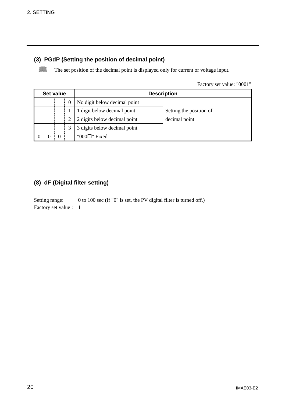#### **(3) PGdP (Setting the position of decimal point)**

 $\Box$ The set position of the decimal point is displayed only for current or voltage input.

Factory set value: "0001"

| Set value |   |                              | <b>Description</b>      |
|-----------|---|------------------------------|-------------------------|
|           | 0 | No digit below decimal point |                         |
|           |   | 1 digit below decimal point  | Setting the position of |
|           |   | 2 digits below decimal point | decimal point           |
|           | 3 | 3 digits below decimal point |                         |
|           |   | "000 $\Box$ " Fixed          |                         |

#### **(8) dF (Digital filter setting)**

Setting range: 0 to 100 sec (If "0" is set, the PV digital filter is turned off.) Factory set value : 1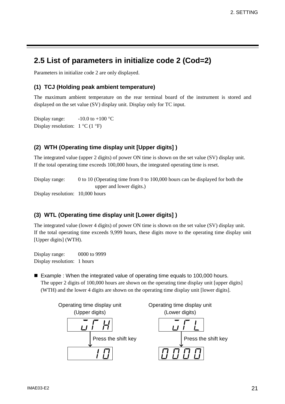# **2.5 List of parameters in initialize code 2 (Cod=2)**

Parameters in initialize code 2 are only displayed.

#### **(1) TCJ (Holding peak ambient temperature)**

The maximum ambient temperature on the rear terminal board of the instrument is stored and displayed on the set value (SV) display unit. Display only for TC input.

Display range:  $-10.0$  to  $+100$  °C Display resolution:  $1 °C (1 °F)$ 

#### **(2) WTH (Operating time display unit [Upper digits] )**

The integrated value (upper 2 digits) of power ON time is shown on the set value (SV) display unit. If the total operating time exceeds 100,000 hours, the integrated operating time is reset.

Display range: 0 to 10 (Operating time from 0 to 100,000 hours can be displayed for both the upper and lower digits.)

Display resolution: 10,000 hours

#### **(3) WTL (Operating time display unit [Lower digits] )**

The integrated value (lower 4 digits) of power ON time is shown on the set value (SV) display unit. If the total operating time exceeds 9,999 hours, these digits move to the operating time display unit [Upper digits] (WTH).

Display range: 0000 to 9999 Display resolution: 1 hours

■ Example : When the integrated value of operating time equals to 100,000 hours. The upper 2 digits of 100,000 hours are shown on the operating time display unit [upper digits] (WTH) and the lower 4 digits are shown on the operating time display unit [lower digits].

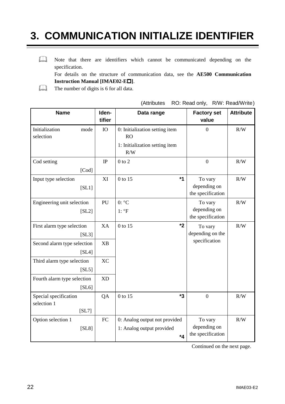# **3. COMMUNICATION INITIALIZE IDENTIFIER**

 $\Box$ Note that there are identifiers which cannot be communicated depending on the specification.

For details on the structure of communication data, see the **AE500 Communication Instruction Manual [IMAE02-E** $\Box$ **].** 

 $\Box$ The number of digits is 6 for all data.

| <b>Name</b>                                   | Iden-<br>tifier | Data range                                                                           | <b>Factory set</b><br>value                  | <b>Attribute</b> |
|-----------------------------------------------|-----------------|--------------------------------------------------------------------------------------|----------------------------------------------|------------------|
| Initialization<br>mode<br>selection           | <b>IO</b>       | 0: Initialization setting item<br><b>RO</b><br>1: Initialization setting item<br>R/W | $\overline{0}$                               | R/W              |
| Cod setting<br>$[{\rm Cod}]$                  | $\mathbb{P}$    | $0$ to $2$                                                                           | $\theta$                                     | R/W              |
| Input type selection<br>[SL1]                 | XI              | $*1$<br>0 to 15                                                                      | To vary<br>depending on<br>the specification | R/W              |
| Engineering unit selection<br>[SL2]           | PU              | $0: {}^{\circ}C$<br>$1: \, \circ F$                                                  | To vary<br>depending on<br>the specification | R/W              |
| First alarm type selection<br>[SL3]           | XA              | $*2$<br>0 to 15                                                                      | To vary<br>depending on the                  | R/W              |
| Second alarm type selection<br>[SL4]          | <b>XB</b>       |                                                                                      | specification                                |                  |
| Third alarm type selection<br>[SL5]           | <b>XC</b>       |                                                                                      |                                              |                  |
| Fourth alarm type selection<br>[SL6]          | X <sub>D</sub>  |                                                                                      |                                              |                  |
| Special specification<br>selection 1<br>[SL7] | QA              | $*3$<br>0 to 15                                                                      | $\overline{0}$                               | R/W              |
| Option selection 1<br>[SL8]                   | FC              | 0: Analog output not provided<br>1: Analog output provided<br>$*_{4}$                | To vary<br>depending on<br>the specification | R/W              |

(Attributes RO: Read only, R/W: Read/Write)

Continued on the next page.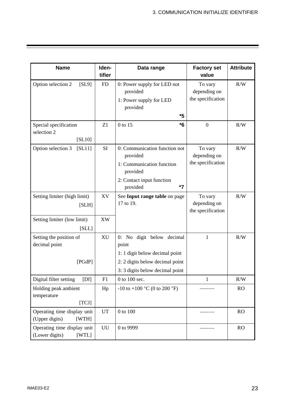| <b>Name</b>                                            | Iden-<br>tifier | Data range                                                                                                                               | <b>Factory set</b><br>value                  | <b>Attribute</b> |
|--------------------------------------------------------|-----------------|------------------------------------------------------------------------------------------------------------------------------------------|----------------------------------------------|------------------|
| Option selection 2<br>[SL9]                            | <b>FD</b>       | 0: Power supply for LED not<br>provided<br>1: Power supply for LED<br>provided<br>*5                                                     | To vary<br>depending on<br>the specification | R/W              |
| Special specification<br>selection 2<br>[SL10]         | Z1              | $*6$<br>0 to 15                                                                                                                          | $\mathbf{0}$                                 | R/W              |
| Option selection 3<br>[SL11]                           | SI              | 0: Communication function not<br>provided<br>1: Communication function<br>provided<br>2: Contact input function<br>$*7$<br>provided      | To vary<br>depending on<br>the specification | R/W              |
| Setting limiter (high limit)<br>[SLH]                  | XV              | See Input range table on page<br>17 to 19.                                                                                               | To vary<br>depending on<br>the specification | R/W              |
| Setting limiter (low limit)<br>[SLL]                   | XW              |                                                                                                                                          |                                              |                  |
| Setting the position of<br>decimal point<br>[PGdP]     | <b>XU</b>       | 0: No digit below decimal<br>point<br>1:1 digit below decimal point<br>2: 2 digits below decimal point<br>3:3 digits below decimal point | $\mathbf{1}$                                 | R/W              |
| Digital filter setting<br>[Df]                         | F1              | 0 to 100 sec.                                                                                                                            | 1                                            | R/W              |
| Holding peak ambient<br>temperature<br>[TCI]           | Hp              | $-10$ to $+100$ °C (0 to 200 °F)                                                                                                         |                                              | <b>RO</b>        |
| Operating time display unit<br>(Upper digits)<br>[WTH] | <b>UT</b>       | 0 to 100                                                                                                                                 |                                              | RO               |
| Operating time display unit<br>(Lower digits)<br>[WTL] | UU              | 0 to 9999                                                                                                                                |                                              | RO               |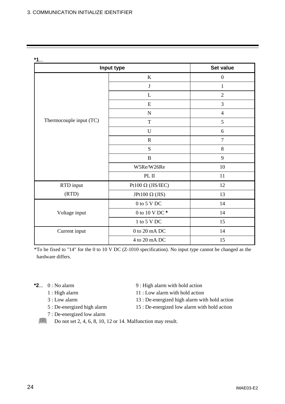**\*1**...

| Input type              | <b>Set value</b>            |                  |
|-------------------------|-----------------------------|------------------|
|                         | $\bf K$                     | $\boldsymbol{0}$ |
|                         | $\bf J$                     | $\mathbf{1}$     |
|                         | L                           | $\overline{2}$   |
|                         | E                           | 3                |
|                         | $\mathbf N$                 | $\overline{4}$   |
| Thermocouple input (TC) | $\mathbf T$                 | 5                |
|                         | U                           | 6                |
|                         | $\mathbf R$                 | $\tau$           |
|                         | S                           | $8\,$            |
|                         | $\, {\bf B}$                | 9                |
|                         | W5Re/W26Re                  | 10               |
|                         | PL $\Pi$                    | 11               |
| RTD input               | Pt100 $\Omega$ (JIS/IEC)    | 12               |
| (RTD)                   | JPt100 $\Omega$ (JIS)       | 13               |
|                         | $0$ to $5$ V $\rm{DC}$      | 14               |
| Voltage input           | 0 to 10 V DC $^\star$       | 14               |
|                         | 1 to 5 V DC                 | 15               |
| Current input           | $0$ to $20\ \mathrm{mA}$ DC | 14               |
|                         | 4 to 20 mA DC               | 15               |

\*To be fixed to "14" for the 0 to 10 V DC (Z-1010 specification). No input type cannot be changed as the hardware differs.

- -
	-
	-
	- 7 : De-energized low alarm
- $\textbf{*2}$ ... 0 : No alarm  $\textbf{9}$  : High alarm with hold action
	- 1 : High alarm 11 : Low alarm with hold action
	- 3 : Low alarm 13 : De-energized high alarm with hold action
	- 5 : De-energized high alarm 15 : De-energized low alarm with hold action
	- $\Box$ Do not set 2, 4, 6, 8, 10, 12 or 14. Malfunction may result.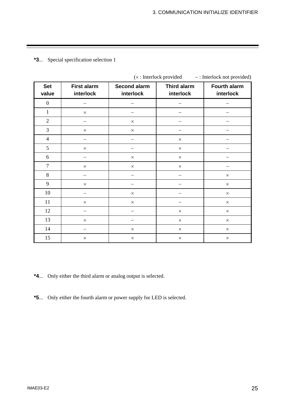#### **\*3**... Special specification selection 1

|                     |                                 |                                  | $(x:$ interfock provided        | $-$ : interfock not provided)    |
|---------------------|---------------------------------|----------------------------------|---------------------------------|----------------------------------|
| <b>Set</b><br>value | <b>First alarm</b><br>interlock | <b>Second alarm</b><br>interlock | <b>Third alarm</b><br>interlock | <b>Fourth alarm</b><br>interlock |
| $\boldsymbol{0}$    |                                 |                                  |                                 |                                  |
| $\mathbf{1}$        | $\times$                        |                                  |                                 |                                  |
| $\sqrt{2}$          |                                 | $\times$                         |                                 |                                  |
| $\mathfrak{Z}$      | $\times$                        | $\times$                         |                                 |                                  |
| $\overline{4}$      |                                 |                                  | $\times$                        |                                  |
| 5                   | $\times$                        |                                  | $\times$                        |                                  |
| 6                   |                                 | $\times$                         | $\times$                        |                                  |
| $\overline{7}$      | $\times$                        | $\times$                         | $\times$                        |                                  |
| $\,8\,$             |                                 |                                  |                                 | $\times$                         |
| 9                   | $\times$                        |                                  |                                 | $\times$                         |
| 10                  |                                 | $\times$                         |                                 | $\times$                         |
| 11                  | $\times$                        | $\times$                         |                                 | $\times$                         |
| 12                  | —                               |                                  | $\times$                        | $\times$                         |
| 13                  | $\times$                        |                                  | $\times$                        | $\times$                         |
| 14                  |                                 | $\times$                         | $\times$                        | $\times$                         |
| 15                  | $\times$                        | $\times$                         | $\times$                        | $\times$                         |

 $(y \cdot \text{Interlock provided} \cdot \cdot \text{Interlock not provided})$ 

**\*4**... Only either the third alarm or analog output is selected.

**\*5**... Only either the fourth alarm or power supply for LED is selected.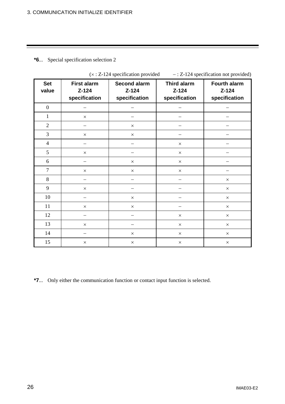#### **\*6**... Special specification selection 2

|                     | $(\wedge$ . $L_{12}$ specification provided<br>$2.2 - 12$ specification not provided. |                                          |                                           |                                                 |  |  |
|---------------------|---------------------------------------------------------------------------------------|------------------------------------------|-------------------------------------------|-------------------------------------------------|--|--|
| <b>Set</b><br>value | <b>First alarm</b><br>$Z - 124$<br>specification                                      | Second alarm<br>$Z-124$<br>specification | Third alarm<br>$Z - 124$<br>specification | <b>Fourth alarm</b><br>$Z-124$<br>specification |  |  |
| $\boldsymbol{0}$    |                                                                                       |                                          |                                           |                                                 |  |  |
| $\mathbf{1}$        | $\times$                                                                              |                                          |                                           |                                                 |  |  |
| $\sqrt{2}$          |                                                                                       | $\times$                                 |                                           |                                                 |  |  |
| $\overline{3}$      | $\times$                                                                              | $\times$                                 |                                           |                                                 |  |  |
| $\overline{4}$      |                                                                                       |                                          | $\times$                                  |                                                 |  |  |
| 5                   | $\times$                                                                              |                                          | $\times$                                  |                                                 |  |  |
| 6                   |                                                                                       | $\times$                                 | $\times$                                  |                                                 |  |  |
| $\overline{7}$      | $\times$                                                                              | $\times$                                 | $\times$                                  |                                                 |  |  |
| $\,8\,$             |                                                                                       |                                          |                                           | $\times$                                        |  |  |
| 9                   | $\times$                                                                              |                                          |                                           | $\times$                                        |  |  |
| 10                  |                                                                                       | $\times$                                 |                                           | $\times$                                        |  |  |
| 11                  | $\times$                                                                              | $\times$                                 |                                           | $\times$                                        |  |  |
| 12                  |                                                                                       |                                          | $\times$                                  | $\times$                                        |  |  |
| 13                  | $\times$                                                                              |                                          | $\times$                                  | $\times$                                        |  |  |
| 14                  |                                                                                       | $\times$                                 | $\times$                                  | $\times$                                        |  |  |
| 15                  | $\times$                                                                              | $\times$                                 | $\times$                                  | $\times$                                        |  |  |

 $(x : Z<sub>-1</sub>124$  specification provided  $- : Z<sub>-1</sub>24$  specification not provided)

**\*7**... Only either the communication function or contact input function is selected.